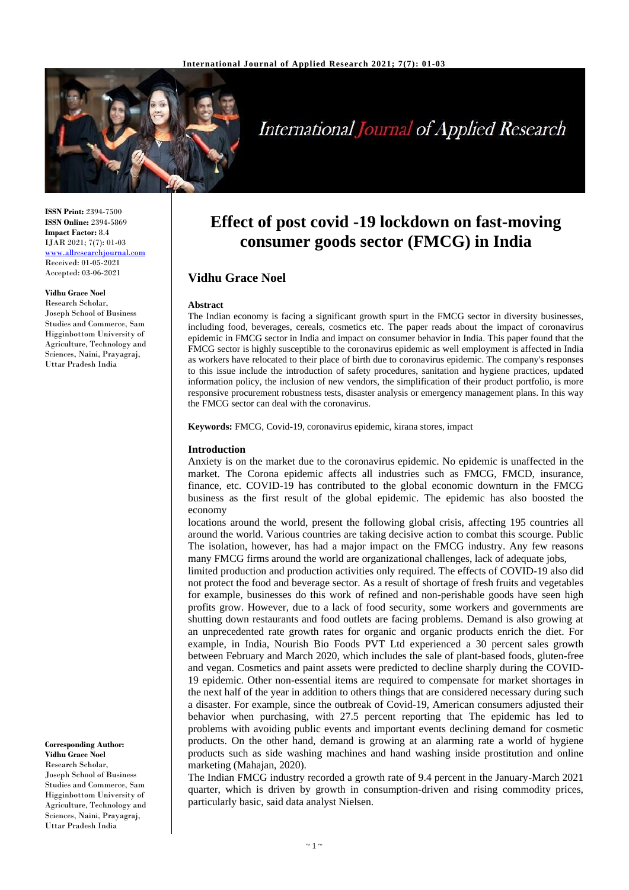

# **International Journal of Applied Research**

**ISSN Print:** 2394-7500 **ISSN Online:** 2394-5869 **Impact Factor:** 8.4 IJAR 2021; 7(7): 01-03 <www.allresearchjournal.com> Received: 01-05-2021 Accepted: 03-06-2021

#### **Vidhu Grace Noel**

Research Scholar, Joseph School of Business Studies and Commerce, Sam Higginbottom University of Agriculture, Technology and Sciences, Naini, Prayagraj, Uttar Pradesh India

**Corresponding Author: Vidhu Grace Noel** Research Scholar, Joseph School of Business Studies and Commerce, Sam Higginbottom University of Agriculture, Technology and Sciences, Naini, Prayagraj, Uttar Pradesh India

## **Effect of post covid -19 lockdown on fast-moving consumer goods sector (FMCG) in India**

## **Vidhu Grace Noel**

#### **Abstract**

The Indian economy is facing a significant growth spurt in the FMCG sector in diversity businesses, including food, beverages, cereals, cosmetics etc. The paper reads about the impact of coronavirus epidemic in FMCG sector in India and impact on consumer behavior in India. This paper found that the FMCG sector is highly susceptible to the coronavirus epidemic as well employment is affected in India as workers have relocated to their place of birth due to coronavirus epidemic. The company's responses to this issue include the introduction of safety procedures, sanitation and hygiene practices, updated information policy, the inclusion of new vendors, the simplification of their product portfolio, is more responsive procurement robustness tests, disaster analysis or emergency management plans. In this way the FMCG sector can deal with the coronavirus.

**Keywords:** FMCG, Covid-19, coronavirus epidemic, kirana stores, impact

#### **Introduction**

Anxiety is on the market due to the coronavirus epidemic. No epidemic is unaffected in the market. The Corona epidemic affects all industries such as FMCG, FMCD, insurance, finance, etc. COVID-19 has contributed to the global economic downturn in the FMCG business as the first result of the global epidemic. The epidemic has also boosted the economy

locations around the world, present the following global crisis, affecting 195 countries all around the world. Various countries are taking decisive action to combat this scourge. Public The isolation, however, has had a major impact on the FMCG industry. Any few reasons many FMCG firms around the world are organizational challenges, lack of adequate jobs,

limited production and production activities only required. The effects of COVID-19 also did not protect the food and beverage sector. As a result of shortage of fresh fruits and vegetables for example, businesses do this work of refined and non-perishable goods have seen high profits grow. However, due to a lack of food security, some workers and governments are shutting down restaurants and food outlets are facing problems. Demand is also growing at an unprecedented rate growth rates for organic and organic products enrich the diet. For example, in India, Nourish Bio Foods PVT Ltd experienced a 30 percent sales growth between February and March 2020, which includes the sale of plant-based foods, gluten-free and vegan. Cosmetics and paint assets were predicted to decline sharply during the COVID-19 epidemic. Other non-essential items are required to compensate for market shortages in the next half of the year in addition to others things that are considered necessary during such a disaster. For example, since the outbreak of Covid-19, American consumers adjusted their behavior when purchasing, with 27.5 percent reporting that The epidemic has led to problems with avoiding public events and important events declining demand for cosmetic products. On the other hand, demand is growing at an alarming rate a world of hygiene products such as side washing machines and hand washing inside prostitution and online marketing (Mahajan, 2020).

The Indian FMCG industry recorded a growth rate of 9.4 percent in the January-March 2021 quarter, which is driven by growth in consumption-driven and rising commodity prices, particularly basic, said data analyst Nielsen.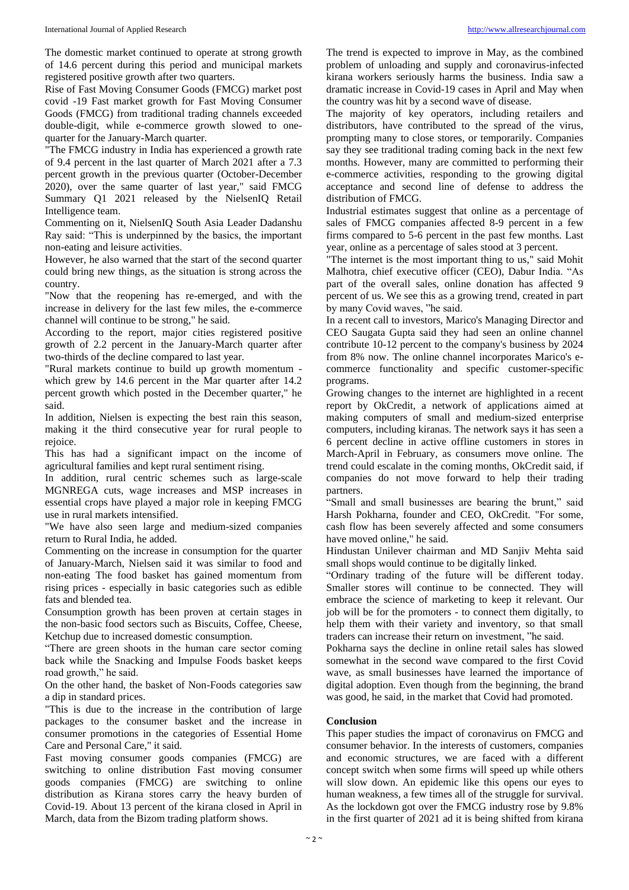The domestic market continued to operate at strong growth of 14.6 percent during this period and municipal markets registered positive growth after two quarters.

Rise of Fast Moving Consumer Goods (FMCG) market post covid -19 Fast market growth for Fast Moving Consumer Goods (FMCG) from traditional trading channels exceeded double-digit, while e-commerce growth slowed to onequarter for the January-March quarter.

"The FMCG industry in India has experienced a growth rate of 9.4 percent in the last quarter of March 2021 after a 7.3 percent growth in the previous quarter (October-December 2020), over the same quarter of last year," said FMCG Summary Q1 2021 released by the NielsenIQ Retail Intelligence team.

Commenting on it, NielsenIQ South Asia Leader Dadanshu Ray said: "This is underpinned by the basics, the important non-eating and leisure activities.

However, he also warned that the start of the second quarter could bring new things, as the situation is strong across the country.

"Now that the reopening has re-emerged, and with the increase in delivery for the last few miles, the e-commerce channel will continue to be strong," he said.

According to the report, major cities registered positive growth of 2.2 percent in the January-March quarter after two-thirds of the decline compared to last year.

"Rural markets continue to build up growth momentum which grew by 14.6 percent in the Mar quarter after 14.2 percent growth which posted in the December quarter," he said.

In addition, Nielsen is expecting the best rain this season, making it the third consecutive year for rural people to rejoice.

This has had a significant impact on the income of agricultural families and kept rural sentiment rising.

In addition, rural centric schemes such as large-scale MGNREGA cuts, wage increases and MSP increases in essential crops have played a major role in keeping FMCG use in rural markets intensified.

"We have also seen large and medium-sized companies return to Rural India, he added.

Commenting on the increase in consumption for the quarter of January-March, Nielsen said it was similar to food and non-eating The food basket has gained momentum from rising prices - especially in basic categories such as edible fats and blended tea.

Consumption growth has been proven at certain stages in the non-basic food sectors such as Biscuits, Coffee, Cheese, Ketchup due to increased domestic consumption.

"There are green shoots in the human care sector coming back while the Snacking and Impulse Foods basket keeps road growth," he said.

On the other hand, the basket of Non-Foods categories saw a dip in standard prices.

"This is due to the increase in the contribution of large packages to the consumer basket and the increase in consumer promotions in the categories of Essential Home Care and Personal Care," it said.

Fast moving consumer goods companies (FMCG) are switching to online distribution Fast moving consumer goods companies (FMCG) are switching to online distribution as Kirana stores carry the heavy burden of Covid-19. About 13 percent of the kirana closed in April in March, data from the Bizom trading platform shows.

The trend is expected to improve in May, as the combined problem of unloading and supply and coronavirus-infected kirana workers seriously harms the business. India saw a dramatic increase in Covid-19 cases in April and May when the country was hit by a second wave of disease.

The majority of key operators, including retailers and distributors, have contributed to the spread of the virus, prompting many to close stores, or temporarily. Companies say they see traditional trading coming back in the next few months. However, many are committed to performing their e-commerce activities, responding to the growing digital acceptance and second line of defense to address the distribution of FMCG.

Industrial estimates suggest that online as a percentage of sales of FMCG companies affected 8-9 percent in a few firms compared to 5-6 percent in the past few months. Last year, online as a percentage of sales stood at 3 percent.

"The internet is the most important thing to us," said Mohit Malhotra, chief executive officer (CEO), Dabur India. "As part of the overall sales, online donation has affected 9 percent of us. We see this as a growing trend, created in part by many Covid waves, "he said.

In a recent call to investors, Marico's Managing Director and CEO Saugata Gupta said they had seen an online channel contribute 10-12 percent to the company's business by 2024 from 8% now. The online channel incorporates Marico's ecommerce functionality and specific customer-specific programs.

Growing changes to the internet are highlighted in a recent report by OkCredit, a network of applications aimed at making computers of small and medium-sized enterprise computers, including kiranas. The network says it has seen a 6 percent decline in active offline customers in stores in March-April in February, as consumers move online. The trend could escalate in the coming months, OkCredit said, if companies do not move forward to help their trading partners.

"Small and small businesses are bearing the brunt," said Harsh Pokharna, founder and CEO, OkCredit. "For some, cash flow has been severely affected and some consumers have moved online," he said.

Hindustan Unilever chairman and MD Sanjiv Mehta said small shops would continue to be digitally linked.

"Ordinary trading of the future will be different today. Smaller stores will continue to be connected. They will embrace the science of marketing to keep it relevant. Our job will be for the promoters - to connect them digitally, to help them with their variety and inventory, so that small traders can increase their return on investment, "he said.

Pokharna says the decline in online retail sales has slowed somewhat in the second wave compared to the first Covid wave, as small businesses have learned the importance of digital adoption. Even though from the beginning, the brand was good, he said, in the market that Covid had promoted.

### **Conclusion**

This paper studies the impact of coronavirus on FMCG and consumer behavior. In the interests of customers, companies and economic structures, we are faced with a different concept switch when some firms will speed up while others will slow down. An epidemic like this opens our eyes to human weakness, a few times all of the struggle for survival. As the lockdown got over the FMCG industry rose by 9.8% in the first quarter of 2021 ad it is being shifted from kirana